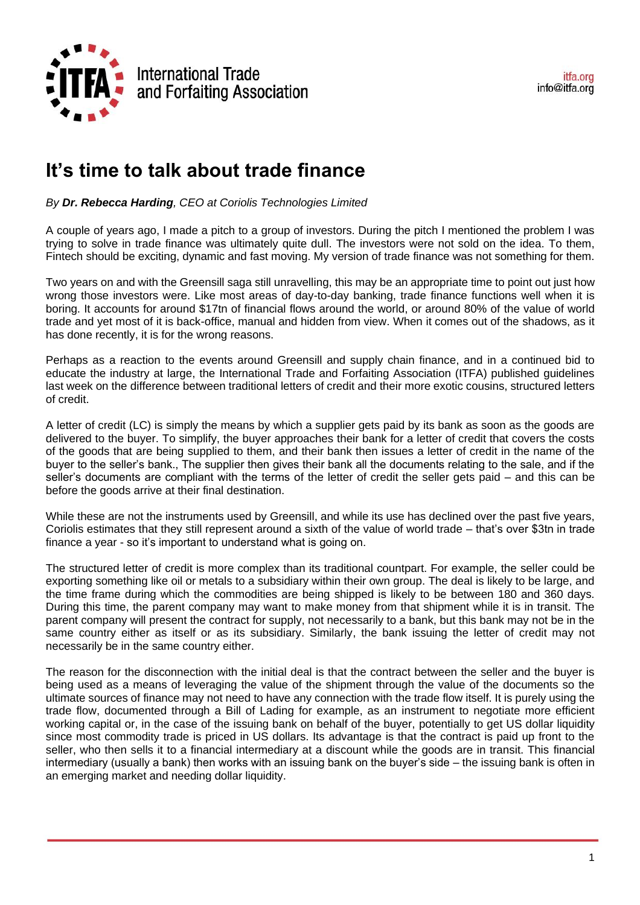

## **It's time to talk about trade finance**

*By Dr. Rebecca Harding, CEO at Coriolis Technologies Limited*

A couple of years ago, I made a pitch to a group of investors. During the pitch I mentioned the problem I was trying to solve in trade finance was ultimately quite dull. The investors were not sold on the idea. To them, Fintech should be exciting, dynamic and fast moving. My version of trade finance was not something for them.

Two years on and with the Greensill saga still unravelling, this may be an appropriate time to point out just how wrong those investors were. Like most areas of day-to-day banking, trade finance functions well when it is boring. It accounts for around \$17tn of financial flows around the world, or around 80% of the value of world trade and yet most of it is back-office, manual and hidden from view. When it comes out of the shadows, as it has done recently, it is for the wrong reasons.

Perhaps as a reaction to the events around Greensill and supply chain finance, and in a continued bid to educate the industry at large, the International Trade and Forfaiting Association (ITFA) published guidelines last week on the difference between traditional letters of credit and their more exotic cousins, structured letters of credit.

A letter of credit (LC) is simply the means by which a supplier gets paid by its bank as soon as the goods are delivered to the buyer. To simplify, the buyer approaches their bank for a letter of credit that covers the costs of the goods that are being supplied to them, and their bank then issues a letter of credit in the name of the buyer to the seller's bank., The supplier then gives their bank all the documents relating to the sale, and if the seller's documents are compliant with the terms of the letter of credit the seller gets paid – and this can be before the goods arrive at their final destination.

While these are not the instruments used by Greensill, and while its use has declined over the past five years, Coriolis estimates that they still represent around a sixth of the value of world trade – that's over \$3tn in trade finance a year - so it's important to understand what is going on.

The structured letter of credit is more complex than its traditional countpart. For example, the seller could be exporting something like oil or metals to a subsidiary within their own group. The deal is likely to be large, and the time frame during which the commodities are being shipped is likely to be between 180 and 360 days. During this time, the parent company may want to make money from that shipment while it is in transit. The parent company will present the contract for supply, not necessarily to a bank, but this bank may not be in the same country either as itself or as its subsidiary. Similarly, the bank issuing the letter of credit may not necessarily be in the same country either.

The reason for the disconnection with the initial deal is that the contract between the seller and the buyer is being used as a means of leveraging the value of the shipment through the value of the documents so the ultimate sources of finance may not need to have any connection with the trade flow itself. It is purely using the trade flow, documented through a Bill of Lading for example, as an instrument to negotiate more efficient working capital or, in the case of the issuing bank on behalf of the buyer, potentially to get US dollar liquidity since most commodity trade is priced in US dollars. Its advantage is that the contract is paid up front to the seller, who then sells it to a financial intermediary at a discount while the goods are in transit. This financial intermediary (usually a bank) then works with an issuing bank on the buyer's side – the issuing bank is often in an emerging market and needing dollar liquidity.